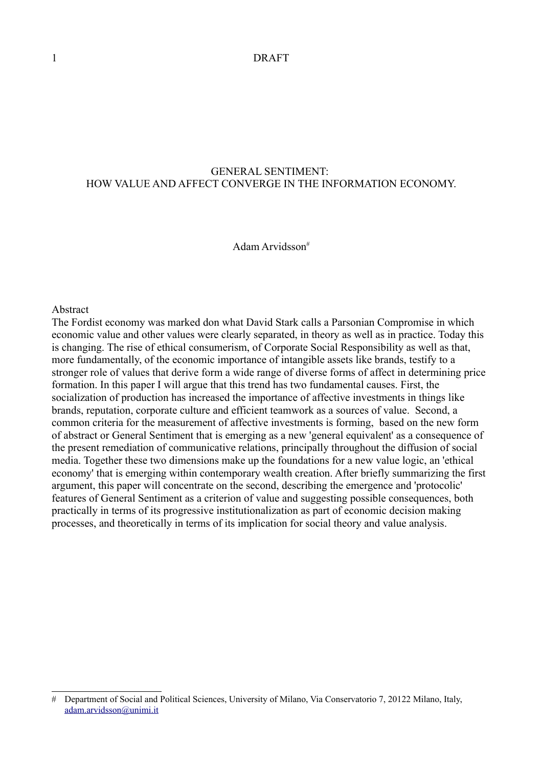### GENERAL SENTIMENT: HOW VALUE AND AFFECT CONVERGE IN THE INFORMATION ECONOMY.

## Adam Arvidsson[#](#page-0-0)

#### Abstract

The Fordist economy was marked don what David Stark calls a Parsonian Compromise in which economic value and other values were clearly separated, in theory as well as in practice. Today this is changing. The rise of ethical consumerism, of Corporate Social Responsibility as well as that, more fundamentally, of the economic importance of intangible assets like brands, testify to a stronger role of values that derive form a wide range of diverse forms of affect in determining price formation. In this paper I will argue that this trend has two fundamental causes. First, the socialization of production has increased the importance of affective investments in things like brands, reputation, corporate culture and efficient teamwork as a sources of value. Second, a common criteria for the measurement of affective investments is forming, based on the new form of abstract or General Sentiment that is emerging as a new 'general equivalent' as a consequence of the present remediation of communicative relations, principally throughout the diffusion of social media. Together these two dimensions make up the foundations for a new value logic, an 'ethical economy' that is emerging within contemporary wealth creation. After briefly summarizing the first argument, this paper will concentrate on the second, describing the emergence and 'protocolic' features of General Sentiment as a criterion of value and suggesting possible consequences, both practically in terms of its progressive institutionalization as part of economic decision making processes, and theoretically in terms of its implication for social theory and value analysis.

<span id="page-0-0"></span><sup>#</sup> Department of Social and Political Sciences, University of Milano, Via Conservatorio 7, 20122 Milano, Italy, [adam.arvidsson@unimi.it](mailto:adam.arvidsson@unimi.it)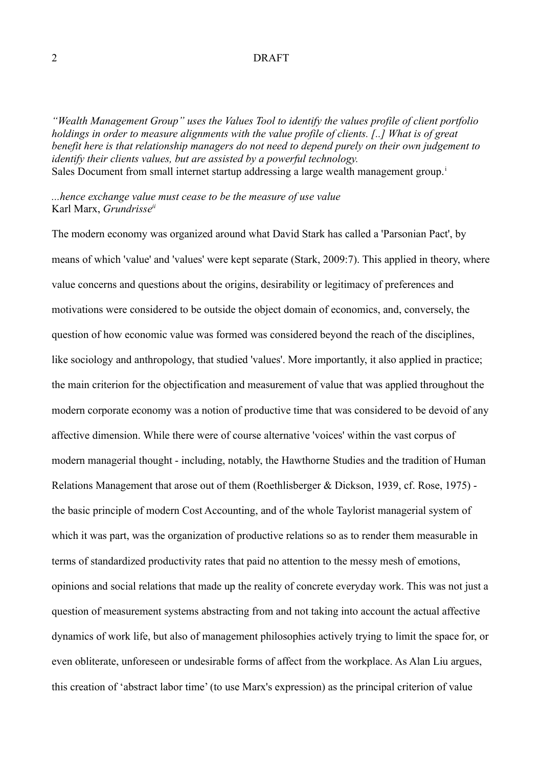*"Wealth Management Group" uses the Values Tool to identify the values profile of client portfolio holdings in order to measure alignments with the value profile of clients. [..] What is of great benefit here is that relationship managers do not need to depend purely on their own judgement to identify their clients values, but are assisted by a powerful technology.*  Sales Document from small [i](#page-24-0)nternet startup addressing a large wealth management group.<sup>i</sup>

*...hence exchange value must cease to be the measure of use value* Karl Marx, *Grundrisse[ii](#page-24-1)*

The modern economy was organized around what David Stark has called a 'Parsonian Pact', by means of which 'value' and 'values' were kept separate (Stark, 2009:7). This applied in theory, where value concerns and questions about the origins, desirability or legitimacy of preferences and motivations were considered to be outside the object domain of economics, and, conversely, the question of how economic value was formed was considered beyond the reach of the disciplines, like sociology and anthropology, that studied 'values'. More importantly, it also applied in practice; the main criterion for the objectification and measurement of value that was applied throughout the modern corporate economy was a notion of productive time that was considered to be devoid of any affective dimension. While there were of course alternative 'voices' within the vast corpus of modern managerial thought - including, notably, the Hawthorne Studies and the tradition of Human Relations Management that arose out of them (Roethlisberger & Dickson, 1939, cf. Rose, 1975) the basic principle of modern Cost Accounting, and of the whole Taylorist managerial system of which it was part, was the organization of productive relations so as to render them measurable in terms of standardized productivity rates that paid no attention to the messy mesh of emotions, opinions and social relations that made up the reality of concrete everyday work. This was not just a question of measurement systems abstracting from and not taking into account the actual affective dynamics of work life, but also of management philosophies actively trying to limit the space for, or even obliterate, unforeseen or undesirable forms of affect from the workplace. As Alan Liu argues, this creation of 'abstract labor time' (to use Marx's expression) as the principal criterion of value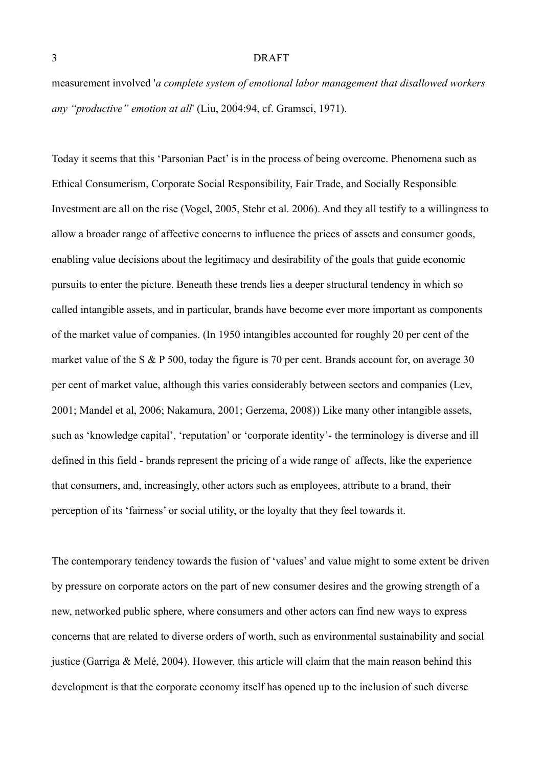measurement involved '*a complete system of emotional labor management that disallowed workers any "productive" emotion at all*' (Liu, 2004:94, cf. Gramsci, 1971).

Today it seems that this 'Parsonian Pact' is in the process of being overcome. Phenomena such as Ethical Consumerism, Corporate Social Responsibility, Fair Trade, and Socially Responsible Investment are all on the rise (Vogel, 2005, Stehr et al. 2006). And they all testify to a willingness to allow a broader range of affective concerns to influence the prices of assets and consumer goods, enabling value decisions about the legitimacy and desirability of the goals that guide economic pursuits to enter the picture. Beneath these trends lies a deeper structural tendency in which so called intangible assets, and in particular, brands have become ever more important as components of the market value of companies. (In 1950 intangibles accounted for roughly 20 per cent of the market value of the S & P 500, today the figure is 70 per cent. Brands account for, on average 30 per cent of market value, although this varies considerably between sectors and companies (Lev, 2001; Mandel et al, 2006; Nakamura, 2001; Gerzema, 2008)) Like many other intangible assets, such as 'knowledge capital', 'reputation' or 'corporate identity'- the terminology is diverse and ill defined in this field - brands represent the pricing of a wide range of affects, like the experience that consumers, and, increasingly, other actors such as employees, attribute to a brand, their perception of its 'fairness' or social utility, or the loyalty that they feel towards it.

The contemporary tendency towards the fusion of 'values' and value might to some extent be driven by pressure on corporate actors on the part of new consumer desires and the growing strength of a new, networked public sphere, where consumers and other actors can find new ways to express concerns that are related to diverse orders of worth, such as environmental sustainability and social justice (Garriga & Melé, 2004). However, this article will claim that the main reason behind this development is that the corporate economy itself has opened up to the inclusion of such diverse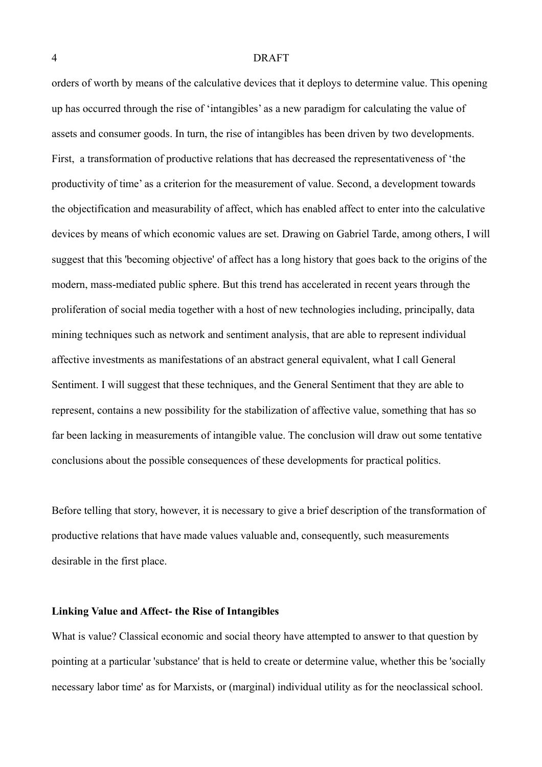orders of worth by means of the calculative devices that it deploys to determine value. This opening up has occurred through the rise of 'intangibles' as a new paradigm for calculating the value of assets and consumer goods. In turn, the rise of intangibles has been driven by two developments. First, a transformation of productive relations that has decreased the representativeness of 'the productivity of time' as a criterion for the measurement of value. Second, a development towards the objectification and measurability of affect, which has enabled affect to enter into the calculative devices by means of which economic values are set. Drawing on Gabriel Tarde, among others, I will suggest that this 'becoming objective' of affect has a long history that goes back to the origins of the modern, mass-mediated public sphere. But this trend has accelerated in recent years through the proliferation of social media together with a host of new technologies including, principally, data mining techniques such as network and sentiment analysis, that are able to represent individual affective investments as manifestations of an abstract general equivalent, what I call General Sentiment. I will suggest that these techniques, and the General Sentiment that they are able to represent, contains a new possibility for the stabilization of affective value, something that has so far been lacking in measurements of intangible value. The conclusion will draw out some tentative conclusions about the possible consequences of these developments for practical politics.

Before telling that story, however, it is necessary to give a brief description of the transformation of productive relations that have made values valuable and, consequently, such measurements desirable in the first place.

#### **Linking Value and Affect- the Rise of Intangibles**

What is value? Classical economic and social theory have attempted to answer to that question by pointing at a particular 'substance' that is held to create or determine value, whether this be 'socially necessary labor time' as for Marxists, or (marginal) individual utility as for the neoclassical school.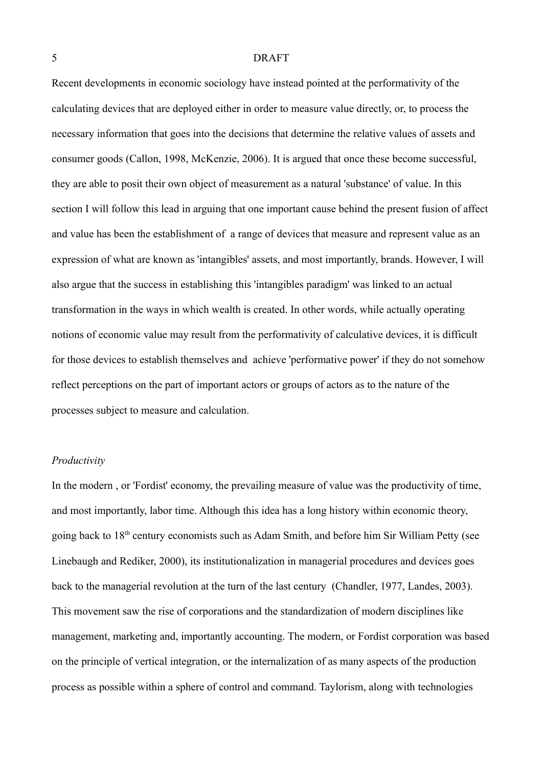Recent developments in economic sociology have instead pointed at the performativity of the calculating devices that are deployed either in order to measure value directly, or, to process the necessary information that goes into the decisions that determine the relative values of assets and consumer goods (Callon, 1998, McKenzie, 2006). It is argued that once these become successful, they are able to posit their own object of measurement as a natural 'substance' of value. In this section I will follow this lead in arguing that one important cause behind the present fusion of affect and value has been the establishment of a range of devices that measure and represent value as an expression of what are known as 'intangibles' assets, and most importantly, brands. However, I will also argue that the success in establishing this 'intangibles paradigm' was linked to an actual transformation in the ways in which wealth is created. In other words, while actually operating notions of economic value may result from the performativity of calculative devices, it is difficult for those devices to establish themselves and achieve 'performative power' if they do not somehow reflect perceptions on the part of important actors or groups of actors as to the nature of the processes subject to measure and calculation.

#### *Productivity*

In the modern , or 'Fordist' economy, the prevailing measure of value was the productivity of time, and most importantly, labor time. Although this idea has a long history within economic theory, going back to 18th century economists such as Adam Smith, and before him Sir William Petty (see Linebaugh and Rediker, 2000), its institutionalization in managerial procedures and devices goes back to the managerial revolution at the turn of the last century (Chandler, 1977, Landes, 2003). This movement saw the rise of corporations and the standardization of modern disciplines like management, marketing and, importantly accounting. The modern, or Fordist corporation was based on the principle of vertical integration, or the internalization of as many aspects of the production process as possible within a sphere of control and command. Taylorism, along with technologies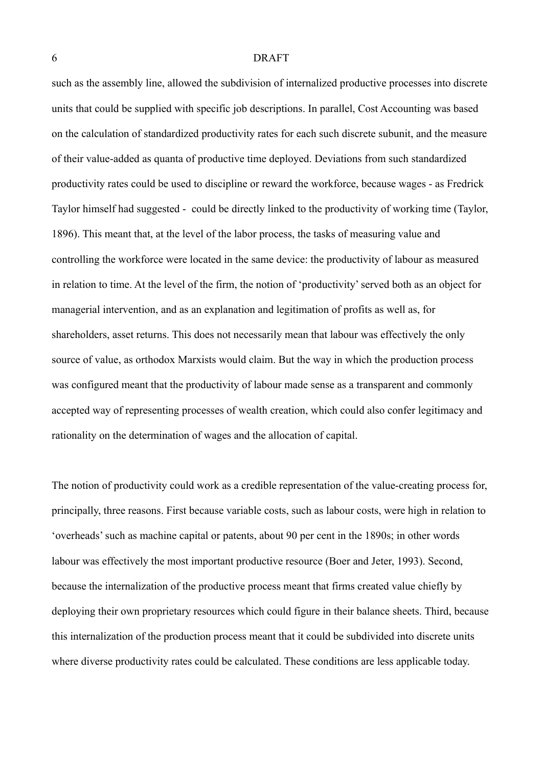such as the assembly line, allowed the subdivision of internalized productive processes into discrete units that could be supplied with specific job descriptions. In parallel, Cost Accounting was based on the calculation of standardized productivity rates for each such discrete subunit, and the measure of their value-added as quanta of productive time deployed. Deviations from such standardized productivity rates could be used to discipline or reward the workforce, because wages - as Fredrick Taylor himself had suggested - could be directly linked to the productivity of working time (Taylor, 1896). This meant that, at the level of the labor process, the tasks of measuring value and controlling the workforce were located in the same device: the productivity of labour as measured in relation to time. At the level of the firm, the notion of 'productivity' served both as an object for managerial intervention, and as an explanation and legitimation of profits as well as, for shareholders, asset returns. This does not necessarily mean that labour was effectively the only source of value, as orthodox Marxists would claim. But the way in which the production process was configured meant that the productivity of labour made sense as a transparent and commonly accepted way of representing processes of wealth creation, which could also confer legitimacy and rationality on the determination of wages and the allocation of capital.

The notion of productivity could work as a credible representation of the value-creating process for, principally, three reasons. First because variable costs, such as labour costs, were high in relation to 'overheads' such as machine capital or patents, about 90 per cent in the 1890s; in other words labour was effectively the most important productive resource (Boer and Jeter, 1993). Second, because the internalization of the productive process meant that firms created value chiefly by deploying their own proprietary resources which could figure in their balance sheets. Third, because this internalization of the production process meant that it could be subdivided into discrete units where diverse productivity rates could be calculated. These conditions are less applicable today.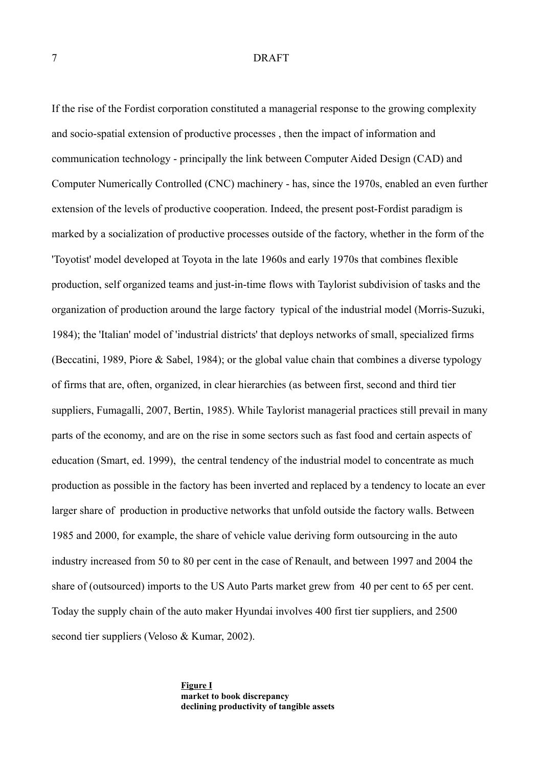If the rise of the Fordist corporation constituted a managerial response to the growing complexity and socio-spatial extension of productive processes , then the impact of information and communication technology - principally the link between Computer Aided Design (CAD) and Computer Numerically Controlled (CNC) machinery - has, since the 1970s, enabled an even further extension of the levels of productive cooperation. Indeed, the present post-Fordist paradigm is marked by a socialization of productive processes outside of the factory, whether in the form of the 'Toyotist' model developed at Toyota in the late 1960s and early 1970s that combines flexible production, self organized teams and just-in-time flows with Taylorist subdivision of tasks and the organization of production around the large factory typical of the industrial model (Morris-Suzuki, 1984); the 'Italian' model of 'industrial districts' that deploys networks of small, specialized firms (Beccatini, 1989, Piore & Sabel, 1984); or the global value chain that combines a diverse typology of firms that are, often, organized, in clear hierarchies (as between first, second and third tier suppliers, Fumagalli, 2007, Bertin, 1985). While Taylorist managerial practices still prevail in many parts of the economy, and are on the rise in some sectors such as fast food and certain aspects of education (Smart, ed. 1999), the central tendency of the industrial model to concentrate as much production as possible in the factory has been inverted and replaced by a tendency to locate an ever larger share of production in productive networks that unfold outside the factory walls. Between 1985 and 2000, for example, the share of vehicle value deriving form outsourcing in the auto industry increased from 50 to 80 per cent in the case of Renault, and between 1997 and 2004 the share of (outsourced) imports to the US Auto Parts market grew from 40 per cent to 65 per cent. Today the supply chain of the auto maker Hyundai involves 400 first tier suppliers, and 2500 second tier suppliers (Veloso & Kumar, 2002).

> **Figure I market to book discrepancy declining productivity of tangible assets**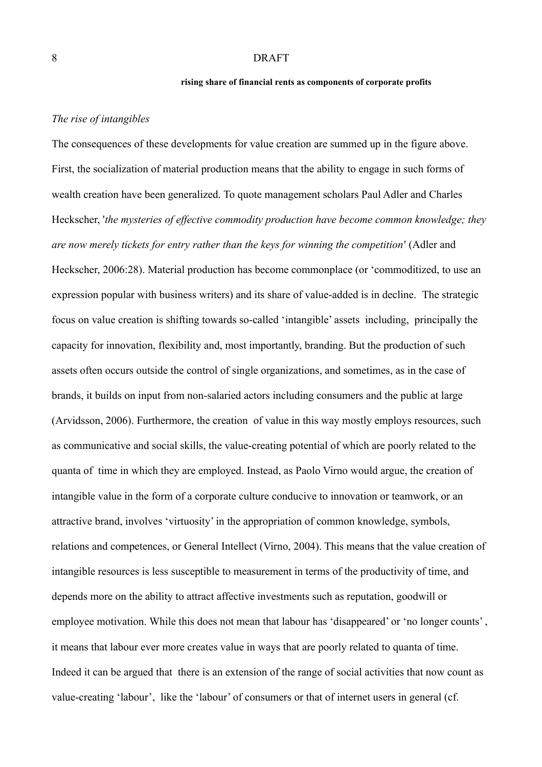#### **rising share of financial rents as components of corporate profits**

#### *The rise of intangibles*

The consequences of these developments for value creation are summed up in the figure above. First, the socialization of material production means that the ability to engage in such forms of wealth creation have been generalized. To quote management scholars Paul Adler and Charles Heckscher, '*the mysteries of effective commodity production have become common knowledge; they are now merely tickets for entry rather than the keys for winning the competition*' (Adler and Heckscher, 2006:28). Material production has become commonplace (or 'commoditized, to use an expression popular with business writers) and its share of value-added is in decline. The strategic focus on value creation is shifting towards so-called 'intangible' assets including, principally the capacity for innovation, flexibility and, most importantly, branding. But the production of such assets often occurs outside the control of single organizations, and sometimes, as in the case of brands, it builds on input from non-salaried actors including consumers and the public at large (Arvidsson, 2006). Furthermore, the creation of value in this way mostly employs resources, such as communicative and social skills, the value-creating potential of which are poorly related to the quanta of time in which they are employed. Instead, as Paolo Virno would argue, the creation of intangible value in the form of a corporate culture conducive to innovation or teamwork, or an attractive brand, involves 'virtuosity' in the appropriation of common knowledge, symbols, relations and competences, or General Intellect (Virno, 2004). This means that the value creation of intangible resources is less susceptible to measurement in terms of the productivity of time, and depends more on the ability to attract affective investments such as reputation, goodwill or employee motivation. While this does not mean that labour has 'disappeared' or 'no longer counts' , it means that labour ever more creates value in ways that are poorly related to quanta of time. Indeed it can be argued that there is an extension of the range of social activities that now count as value-creating 'labour', like the 'labour' of consumers or that of internet users in general (cf.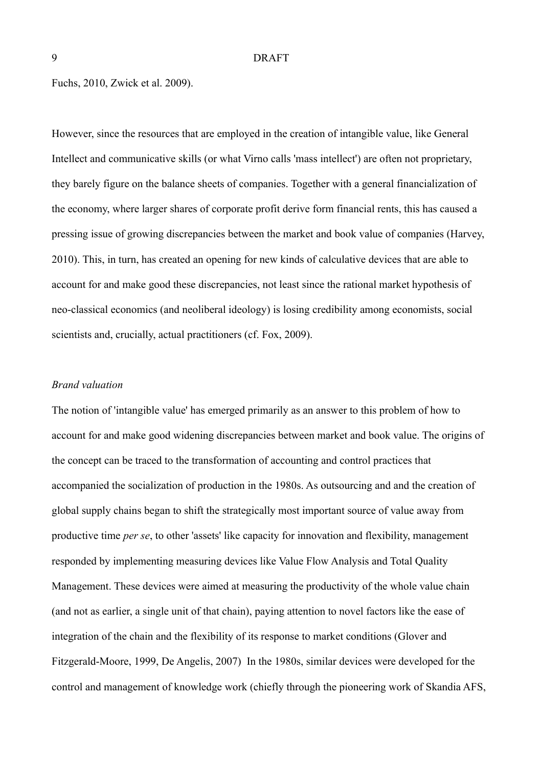Fuchs, 2010, Zwick et al. 2009).

However, since the resources that are employed in the creation of intangible value, like General Intellect and communicative skills (or what Virno calls 'mass intellect') are often not proprietary, they barely figure on the balance sheets of companies. Together with a general financialization of the economy, where larger shares of corporate profit derive form financial rents, this has caused a pressing issue of growing discrepancies between the market and book value of companies (Harvey, 2010). This, in turn, has created an opening for new kinds of calculative devices that are able to account for and make good these discrepancies, not least since the rational market hypothesis of neo-classical economics (and neoliberal ideology) is losing credibility among economists, social scientists and, crucially, actual practitioners (cf. Fox, 2009).

### *Brand valuation*

The notion of 'intangible value' has emerged primarily as an answer to this problem of how to account for and make good widening discrepancies between market and book value. The origins of the concept can be traced to the transformation of accounting and control practices that accompanied the socialization of production in the 1980s. As outsourcing and and the creation of global supply chains began to shift the strategically most important source of value away from productive time *per se*, to other 'assets' like capacity for innovation and flexibility, management responded by implementing measuring devices like Value Flow Analysis and Total Quality Management. These devices were aimed at measuring the productivity of the whole value chain (and not as earlier, a single unit of that chain), paying attention to novel factors like the ease of integration of the chain and the flexibility of its response to market conditions (Glover and Fitzgerald-Moore, 1999, De Angelis, 2007) In the 1980s, similar devices were developed for the control and management of knowledge work (chiefly through the pioneering work of Skandia AFS,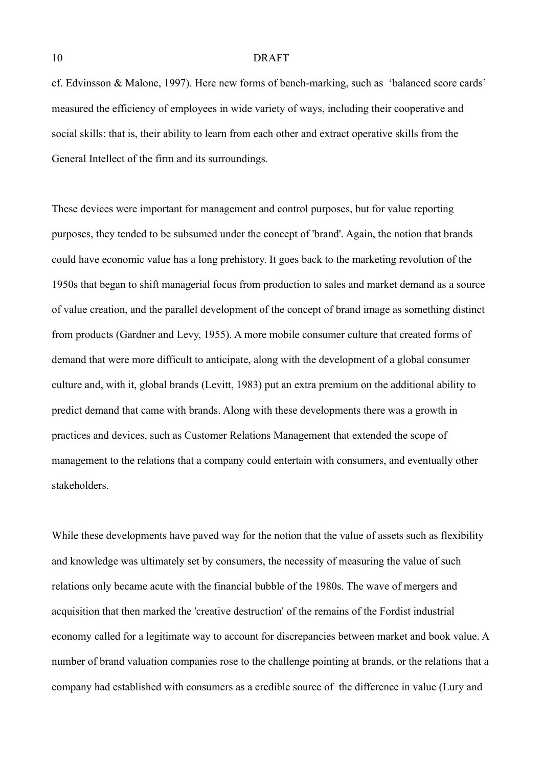cf. Edvinsson & Malone, 1997). Here new forms of bench-marking, such as 'balanced score cards' measured the efficiency of employees in wide variety of ways, including their cooperative and social skills: that is, their ability to learn from each other and extract operative skills from the General Intellect of the firm and its surroundings.

These devices were important for management and control purposes, but for value reporting purposes, they tended to be subsumed under the concept of 'brand'. Again, the notion that brands could have economic value has a long prehistory. It goes back to the marketing revolution of the 1950s that began to shift managerial focus from production to sales and market demand as a source of value creation, and the parallel development of the concept of brand image as something distinct from products (Gardner and Levy, 1955). A more mobile consumer culture that created forms of demand that were more difficult to anticipate, along with the development of a global consumer culture and, with it, global brands (Levitt, 1983) put an extra premium on the additional ability to predict demand that came with brands. Along with these developments there was a growth in practices and devices, such as Customer Relations Management that extended the scope of management to the relations that a company could entertain with consumers, and eventually other stakeholders.

While these developments have paved way for the notion that the value of assets such as flexibility and knowledge was ultimately set by consumers, the necessity of measuring the value of such relations only became acute with the financial bubble of the 1980s. The wave of mergers and acquisition that then marked the 'creative destruction' of the remains of the Fordist industrial economy called for a legitimate way to account for discrepancies between market and book value. A number of brand valuation companies rose to the challenge pointing at brands, or the relations that a company had established with consumers as a credible source of the difference in value (Lury and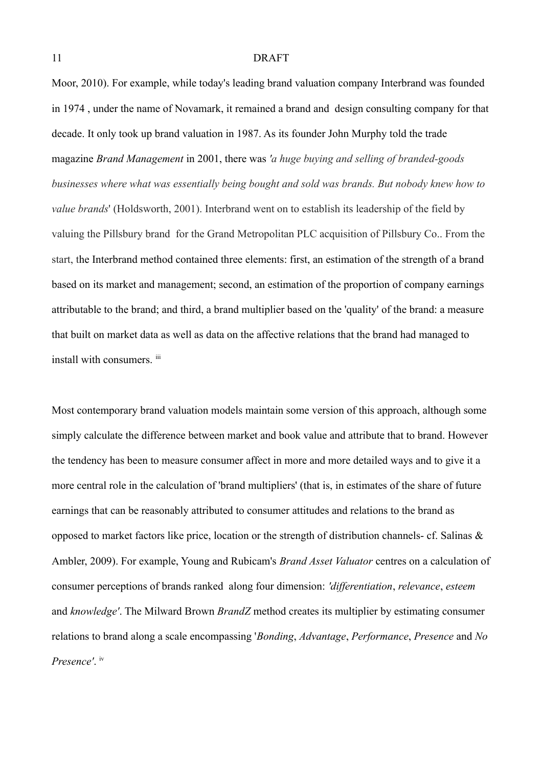Moor, 2010). For example, while today's leading brand valuation company Interbrand was founded in 1974 , under the name of Novamark, it remained a brand and design consulting company for that decade. It only took up brand valuation in 1987. As its founder John Murphy told the trade magazine *Brand Management* in 2001, there was *'a huge buying and selling of branded-goods businesses where what was essentially being bought and sold was brands. But nobody knew how to value brands*' (Holdsworth, 2001). Interbrand went on to establish its leadership of the field by valuing the Pillsbury brand for the Grand Metropolitan PLC acquisition of Pillsbury Co.. From the start, the Interbrand method contained three elements: first, an estimation of the strength of a brand based on its market and management; second, an estimation of the proportion of company earnings attributable to the brand; and third, a brand multiplier based on the 'quality' of the brand: a measure that built on market data as well as data on the affective relations that the brand had managed to install with consumers. [iii](#page-24-2)

Most contemporary brand valuation models maintain some version of this approach, although some simply calculate the difference between market and book value and attribute that to brand. However the tendency has been to measure consumer affect in more and more detailed ways and to give it a more central role in the calculation of 'brand multipliers' (that is, in estimates of the share of future earnings that can be reasonably attributed to consumer attitudes and relations to the brand as opposed to market factors like price, location or the strength of distribution channels- cf. Salinas & Ambler, 2009). For example, Young and Rubicam's *Brand Asset Valuator* centres on a calculation of consumer perceptions of brands ranked along four dimension: *'differentiation*, *relevance*, *esteem* and *knowledge'*. The Milward Brown *BrandZ* method creates its multiplier by estimating consumer relations to brand along a scale encompassing '*Bonding*, *Advantage*, *Performance*, *Presence* and *No Presence'*. [iv](#page-24-3)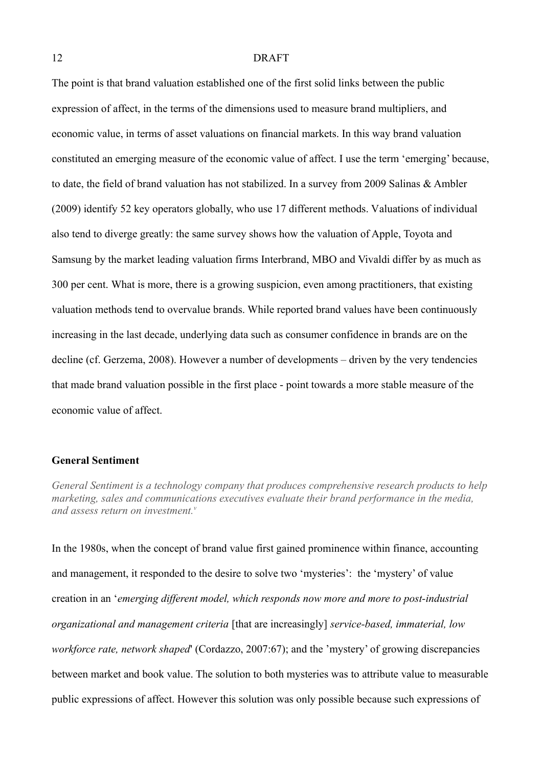The point is that brand valuation established one of the first solid links between the public expression of affect, in the terms of the dimensions used to measure brand multipliers, and economic value, in terms of asset valuations on financial markets. In this way brand valuation constituted an emerging measure of the economic value of affect. I use the term 'emerging' because, to date, the field of brand valuation has not stabilized. In a survey from 2009 Salinas & Ambler (2009) identify 52 key operators globally, who use 17 different methods. Valuations of individual also tend to diverge greatly: the same survey shows how the valuation of Apple, Toyota and Samsung by the market leading valuation firms Interbrand, MBO and Vivaldi differ by as much as 300 per cent. What is more, there is a growing suspicion, even among practitioners, that existing valuation methods tend to overvalue brands. While reported brand values have been continuously increasing in the last decade, underlying data such as consumer confidence in brands are on the decline (cf. Gerzema, 2008). However a number of developments – driven by the very tendencies that made brand valuation possible in the first place - point towards a more stable measure of the economic value of affect.

#### **General Sentiment**

*General Sentiment is a technology company that produces comprehensive research products to help marketing, sales and communications executives evaluate their brand performance in the media, and assess return on investment.[v](#page-24-4)*

In the 1980s, when the concept of brand value first gained prominence within finance, accounting and management, it responded to the desire to solve two 'mysteries': the 'mystery' of value creation in an '*emerging different model, which responds now more and more to post-industrial organizational and management criteria* [that are increasingly] *service-based, immaterial, low workforce rate, network shaped*' (Cordazzo, 2007:67); and the 'mystery' of growing discrepancies between market and book value. The solution to both mysteries was to attribute value to measurable public expressions of affect. However this solution was only possible because such expressions of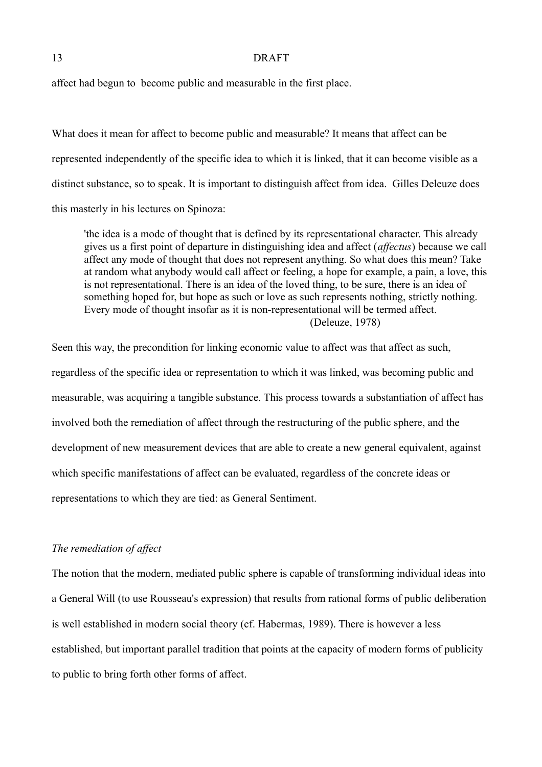affect had begun to become public and measurable in the first place.

What does it mean for affect to become public and measurable? It means that affect can be represented independently of the specific idea to which it is linked, that it can become visible as a distinct substance, so to speak. It is important to distinguish affect from idea. Gilles Deleuze does this masterly in his lectures on Spinoza:

'the idea is a mode of thought that is defined by its representational character. This already gives us a first point of departure in distinguishing idea and affect (*affectus*) because we call affect any mode of thought that does not represent anything. So what does this mean? Take at random what anybody would call affect or feeling, a hope for example, a pain, a love, this is not representational. There is an idea of the loved thing, to be sure, there is an idea of something hoped for, but hope as such or love as such represents nothing, strictly nothing. Every mode of thought insofar as it is non-representational will be termed affect. (Deleuze, 1978)

Seen this way, the precondition for linking economic value to affect was that affect as such, regardless of the specific idea or representation to which it was linked, was becoming public and measurable, was acquiring a tangible substance. This process towards a substantiation of affect has involved both the remediation of affect through the restructuring of the public sphere, and the development of new measurement devices that are able to create a new general equivalent, against which specific manifestations of affect can be evaluated, regardless of the concrete ideas or representations to which they are tied: as General Sentiment.

# *The remediation of affect*

The notion that the modern, mediated public sphere is capable of transforming individual ideas into a General Will (to use Rousseau's expression) that results from rational forms of public deliberation is well established in modern social theory (cf. Habermas, 1989). There is however a less established, but important parallel tradition that points at the capacity of modern forms of publicity to public to bring forth other forms of affect.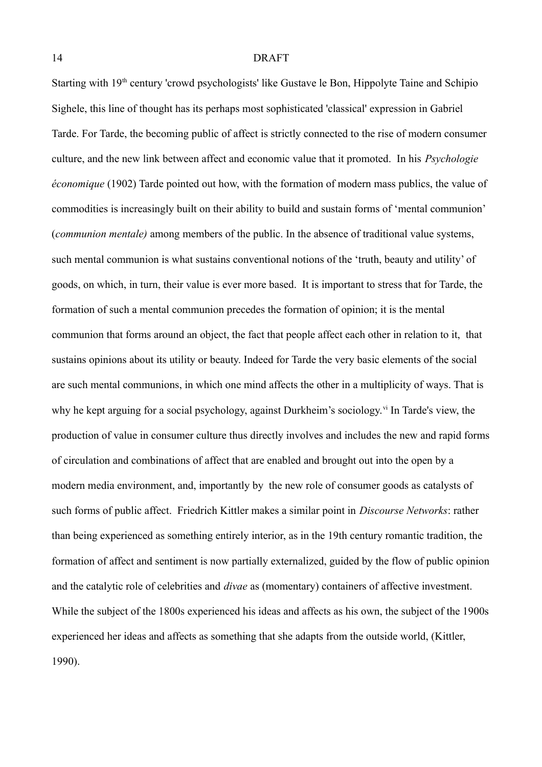Starting with 19th century 'crowd psychologists' like Gustave le Bon, Hippolyte Taine and Schipio Sighele, this line of thought has its perhaps most sophisticated 'classical' expression in Gabriel Tarde. For Tarde, the becoming public of affect is strictly connected to the rise of modern consumer culture, and the new link between affect and economic value that it promoted. In his *Psychologie économique* (1902) Tarde pointed out how, with the formation of modern mass publics, the value of commodities is increasingly built on their ability to build and sustain forms of 'mental communion' (*communion mentale)* among members of the public. In the absence of traditional value systems, such mental communion is what sustains conventional notions of the 'truth, beauty and utility' of goods, on which, in turn, their value is ever more based. It is important to stress that for Tarde, the formation of such a mental communion precedes the formation of opinion; it is the mental communion that forms around an object, the fact that people affect each other in relation to it, that sustains opinions about its utility or beauty. Indeed for Tarde the very basic elements of the social are such mental communions, in which one mind affects the other in a multiplicity of ways. That is why he kept arguing for a social psychology, against Durkheim's sociology. V<sup>i</sup> In Tarde's [vi](#page-24-5)ew, the production of value in consumer culture thus directly involves and includes the new and rapid forms of circulation and combinations of affect that are enabled and brought out into the open by a modern media environment, and, importantly by the new role of consumer goods as catalysts of such forms of public affect. Friedrich Kittler makes a similar point in *Discourse Networks*: rather than being experienced as something entirely interior, as in the 19th century romantic tradition, the formation of affect and sentiment is now partially externalized, guided by the flow of public opinion and the catalytic role of celebrities and *divae* as (momentary) containers of affective investment. While the subject of the 1800s experienced his ideas and affects as his own, the subject of the 1900s experienced her ideas and affects as something that she adapts from the outside world, (Kittler, 1990).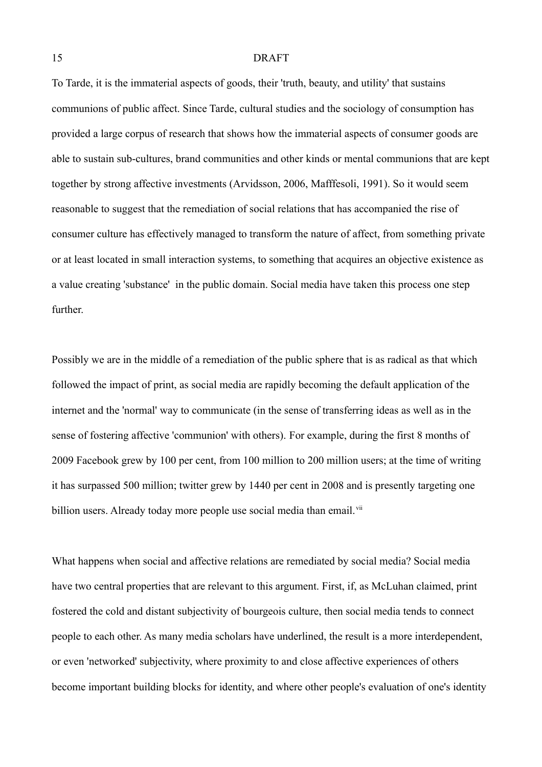To Tarde, it is the immaterial aspects of goods, their 'truth, beauty, and utility' that sustains communions of public affect. Since Tarde, cultural studies and the sociology of consumption has provided a large corpus of research that shows how the immaterial aspects of consumer goods are able to sustain sub-cultures, brand communities and other kinds or mental communions that are kept together by strong affective investments (Arvidsson, 2006, Mafffesoli, 1991). So it would seem reasonable to suggest that the remediation of social relations that has accompanied the rise of consumer culture has effectively managed to transform the nature of affect, from something private or at least located in small interaction systems, to something that acquires an objective existence as a value creating 'substance' in the public domain. Social media have taken this process one step further.

Possibly we are in the middle of a remediation of the public sphere that is as radical as that which followed the impact of print, as social media are rapidly becoming the default application of the internet and the 'normal' way to communicate (in the sense of transferring ideas as well as in the sense of fostering affective 'communion' with others). For example, during the first 8 months of 2009 Facebook grew by 100 per cent, from 100 million to 200 million users; at the time of writing it has surpassed 500 million; twitter grew by 1440 per cent in 2008 and is presently targeting one billion users. Already today more people use social media than email.<sup>[vii](#page-24-6)</sup>

What happens when social and affective relations are remediated by social media? Social media have two central properties that are relevant to this argument. First, if, as McLuhan claimed, print fostered the cold and distant subjectivity of bourgeois culture, then social media tends to connect people to each other. As many media scholars have underlined, the result is a more interdependent, or even 'networked' subjectivity, where proximity to and close affective experiences of others become important building blocks for identity, and where other people's evaluation of one's identity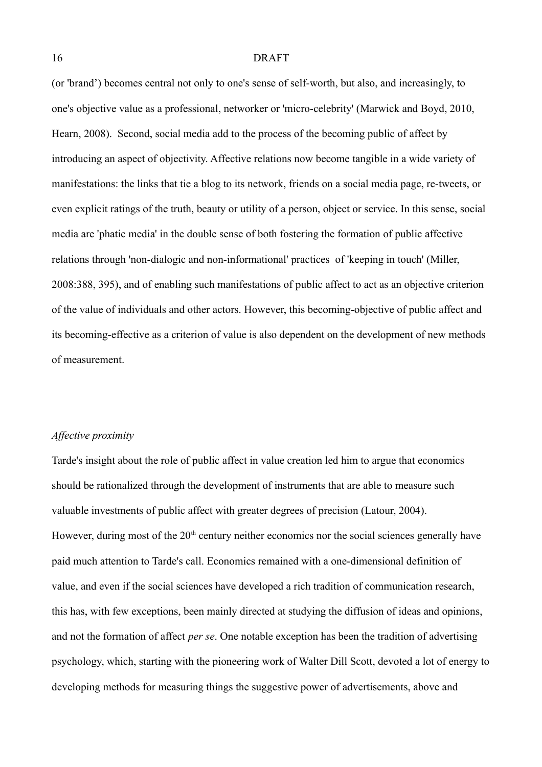(or 'brand') becomes central not only to one's sense of self-worth, but also, and increasingly, to one's objective value as a professional, networker or 'micro-celebrity' (Marwick and Boyd, 2010, Hearn, 2008). Second, social media add to the process of the becoming public of affect by introducing an aspect of objectivity. Affective relations now become tangible in a wide variety of manifestations: the links that tie a blog to its network, friends on a social media page, re-tweets, or even explicit ratings of the truth, beauty or utility of a person, object or service. In this sense, social media are 'phatic media' in the double sense of both fostering the formation of public affective relations through 'non-dialogic and non-informational' practices of 'keeping in touch' (Miller, 2008:388, 395), and of enabling such manifestations of public affect to act as an objective criterion of the value of individuals and other actors. However, this becoming-objective of public affect and its becoming-effective as a criterion of value is also dependent on the development of new methods of measurement.

### *Affective proximity*

Tarde's insight about the role of public affect in value creation led him to argue that economics should be rationalized through the development of instruments that are able to measure such valuable investments of public affect with greater degrees of precision (Latour, 2004). However, during most of the  $20<sup>th</sup>$  century neither economics nor the social sciences generally have paid much attention to Tarde's call. Economics remained with a one-dimensional definition of value, and even if the social sciences have developed a rich tradition of communication research, this has, with few exceptions, been mainly directed at studying the diffusion of ideas and opinions, and not the formation of affect *per se*. One notable exception has been the tradition of advertising psychology, which, starting with the pioneering work of Walter Dill Scott, devoted a lot of energy to developing methods for measuring things the suggestive power of advertisements, above and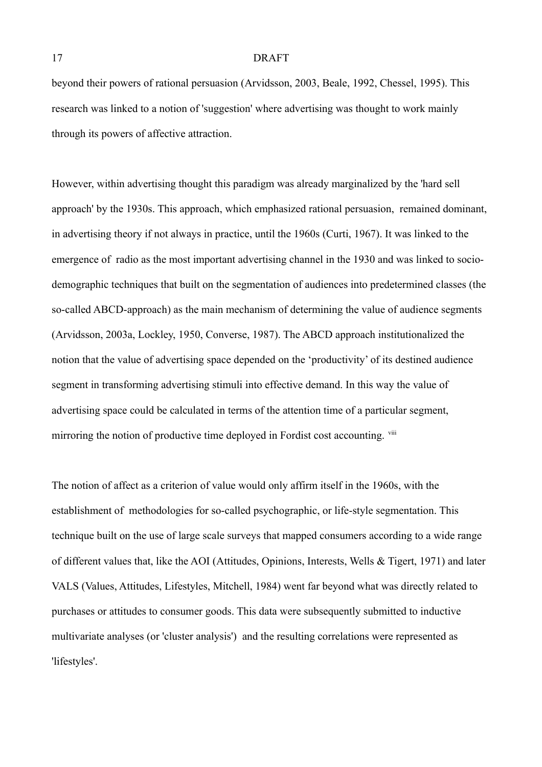beyond their powers of rational persuasion (Arvidsson, 2003, Beale, 1992, Chessel, 1995). This research was linked to a notion of 'suggestion' where advertising was thought to work mainly through its powers of affective attraction.

However, within advertising thought this paradigm was already marginalized by the 'hard sell approach' by the 1930s. This approach, which emphasized rational persuasion, remained dominant, in advertising theory if not always in practice, until the 1960s (Curti, 1967). It was linked to the emergence of radio as the most important advertising channel in the 1930 and was linked to sociodemographic techniques that built on the segmentation of audiences into predetermined classes (the so-called ABCD-approach) as the main mechanism of determining the value of audience segments (Arvidsson, 2003a, Lockley, 1950, Converse, 1987). The ABCD approach institutionalized the notion that the value of advertising space depended on the 'productivity' of its destined audience segment in transforming advertising stimuli into effective demand. In this way the value of advertising space could be calculated in terms of the attention time of a particular segment, mirroring the notion of productive time deployed in Fordist cost accounting. <sup>[viii](#page-24-7)</sup>

The notion of affect as a criterion of value would only affirm itself in the 1960s, with the establishment of methodologies for so-called psychographic, or life-style segmentation. This technique built on the use of large scale surveys that mapped consumers according to a wide range of different values that, like the AOI (Attitudes, Opinions, Interests, Wells & Tigert, 1971) and later VALS (Values, Attitudes, Lifestyles, Mitchell, 1984) went far beyond what was directly related to purchases or attitudes to consumer goods. This data were subsequently submitted to inductive multivariate analyses (or 'cluster analysis') and the resulting correlations were represented as 'lifestyles'.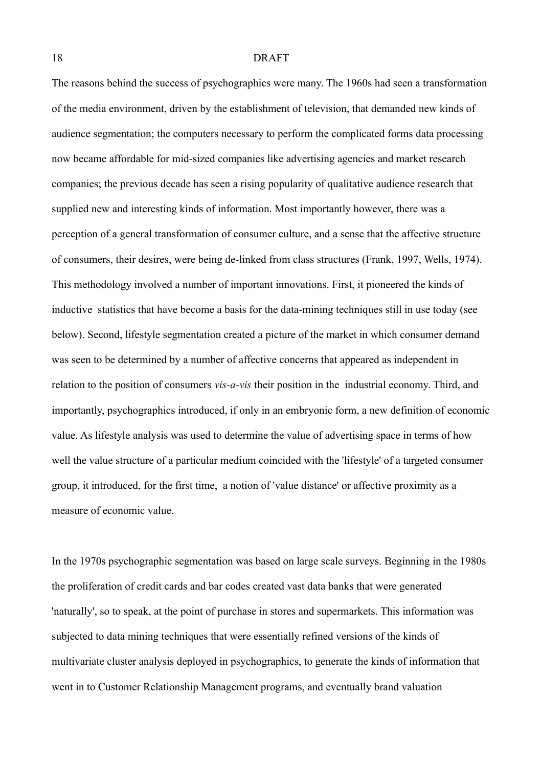The reasons behind the success of psychographics were many. The 1960s had seen a transformation of the media environment, driven by the establishment of television, that demanded new kinds of audience segmentation; the computers necessary to perform the complicated forms data processing now became affordable for mid-sized companies like advertising agencies and market research companies; the previous decade has seen a rising popularity of qualitative audience research that supplied new and interesting kinds of information. Most importantly however, there was a perception of a general transformation of consumer culture, and a sense that the affective structure of consumers, their desires, were being de-linked from class structures (Frank, 1997, Wells, 1974). This methodology involved a number of important innovations. First, it pioneered the kinds of inductive statistics that have become a basis for the data-mining techniques still in use today (see below). Second, lifestyle segmentation created a picture of the market in which consumer demand was seen to be determined by a number of affective concerns that appeared as independent in relation to the position of consumers *vis-a-vis* their position in the industrial economy. Third, and importantly, psychographics introduced, if only in an embryonic form, a new definition of economic value. As lifestyle analysis was used to determine the value of advertising space in terms of how well the value structure of a particular medium coincided with the 'lifestyle' of a targeted consumer group, it introduced, for the first time, a notion of 'value distance' or affective proximity as a measure of economic value.

In the 1970s psychographic segmentation was based on large scale surveys. Beginning in the 1980s the proliferation of credit cards and bar codes created vast data banks that were generated 'naturally', so to speak, at the point of purchase in stores and supermarkets. This information was subjected to data mining techniques that were essentially refined versions of the kinds of multivariate cluster analysis deployed in psychographics, to generate the kinds of information that went in to Customer Relationship Management programs, and eventually brand valuation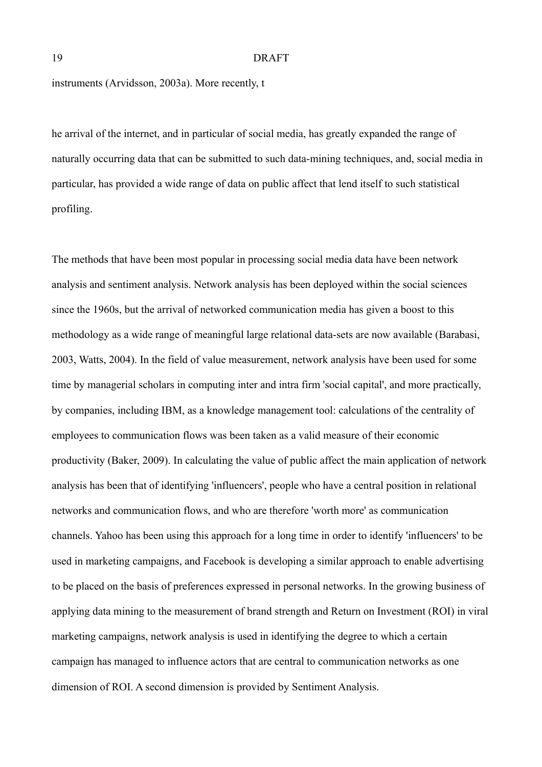instruments (Arvidsson, 2003a). More recently, t

he arrival of the internet, and in particular of social media, has greatly expanded the range of naturally occurring data that can be submitted to such data-mining techniques, and, social media in particular, has provided a wide range of data on public affect that lend itself to such statistical profiling.

The methods that have been most popular in processing social media data have been network analysis and sentiment analysis. Network analysis has been deployed within the social sciences since the 1960s, but the arrival of networked communication media has given a boost to this methodology as a wide range of meaningful large relational data-sets are now available (Barabasi, 2003, Watts, 2004). In the field of value measurement, network analysis have been used for some time by managerial scholars in computing inter and intra firm 'social capital', and more practically, by companies, including IBM, as a knowledge management tool: calculations of the centrality of employees to communication flows was been taken as a valid measure of their economic productivity (Baker, 2009). In calculating the value of public affect the main application of network analysis has been that of identifying 'influencers', people who have a central position in relational networks and communication flows, and who are therefore 'worth more' as communication channels. Yahoo has been using this approach for a long time in order to identify 'influencers' to be used in marketing campaigns, and Facebook is developing a similar approach to enable advertising to be placed on the basis of preferences expressed in personal networks. In the growing business of applying data mining to the measurement of brand strength and Return on Investment (ROI) in viral marketing campaigns, network analysis is used in identifying the degree to which a certain campaign has managed to influence actors that are central to communication networks as one dimension of ROI. A second dimension is provided by Sentiment Analysis.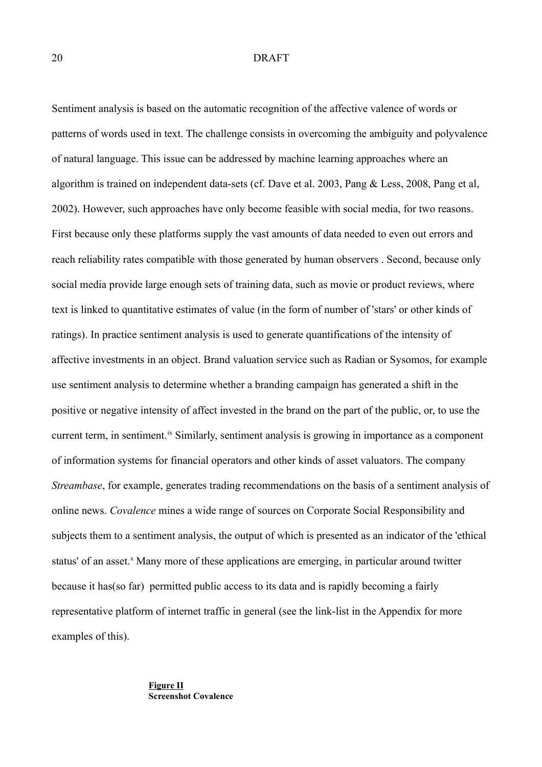Sentiment analysis is based on the automatic recognition of the affective valence of words or patterns of words used in text. The challenge consists in overcoming the ambiguity and polyvalence of natural language. This issue can be addressed by machine learning approaches where an algorithm is trained on independent data-sets (cf. Dave et al. 2003, Pang & Less, 2008, Pang et al, 2002). However, such approaches have only become feasible with social media, for two reasons. First because only these platforms supply the vast amounts of data needed to even out errors and reach reliability rates compatible with those generated by human observers . Second, because only social media provide large enough sets of training data, such as movie or product reviews, where text is linked to quantitative estimates of value (in the form of number of 'stars' or other kinds of ratings). In practice sentiment analysis is used to generate quantifications of the intensity of affective investments in an object. Brand valuation service such as Radian or Sysomos, for example use sentiment analysis to determine whether a branding campaign has generated a shift in the positive or negative intensity of affect invested in the brand on the part of the public, or, to use the current term, in sentiment.<sup>[ix](#page-24-8)</sup> Similarly, sentiment analysis is growing in importance as a component of information systems for financial operators and other kinds of asset valuators. The company *Streambase*, for example, generates trading recommendations on the basis of a sentiment analysis of online news. *Covalence* mines a wide range of sources on Corporate Social Responsibility and subjects them to a sentiment analysis, the output of which is presented as an indicator of the 'ethical status' of an asset.<sup>[x](#page-24-9)</sup> Many more of these applications are emerging, in particular around twitter because it has(so far) permitted public access to its data and is rapidly becoming a fairly representative platform of internet traffic in general (see the link-list in the Appendix for more examples of this).

> **Figure II Screenshot Covalence**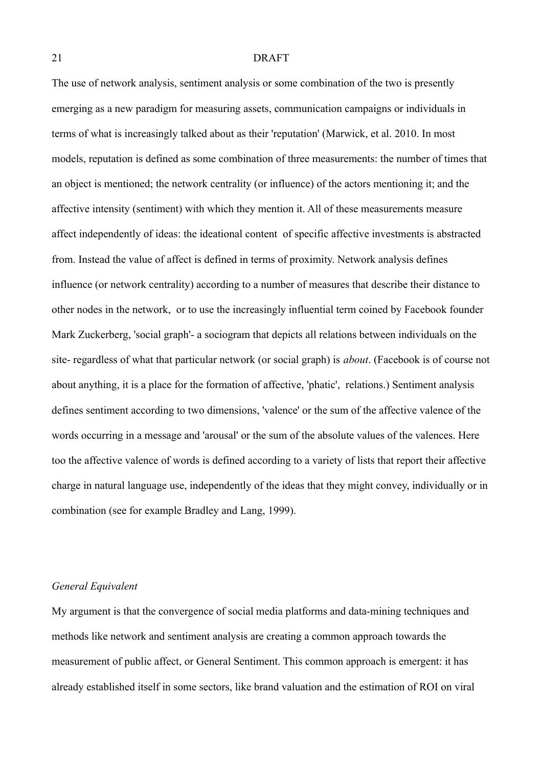The use of network analysis, sentiment analysis or some combination of the two is presently emerging as a new paradigm for measuring assets, communication campaigns or individuals in terms of what is increasingly talked about as their 'reputation' (Marwick, et al. 2010. In most models, reputation is defined as some combination of three measurements: the number of times that an object is mentioned; the network centrality (or influence) of the actors mentioning it; and the affective intensity (sentiment) with which they mention it. All of these measurements measure affect independently of ideas: the ideational content of specific affective investments is abstracted from. Instead the value of affect is defined in terms of proximity. Network analysis defines influence (or network centrality) according to a number of measures that describe their distance to other nodes in the network, or to use the increasingly influential term coined by Facebook founder Mark Zuckerberg, 'social graph'- a sociogram that depicts all relations between individuals on the site- regardless of what that particular network (or social graph) is *about*. (Facebook is of course not about anything, it is a place for the formation of affective, 'phatic', relations.) Sentiment analysis defines sentiment according to two dimensions, 'valence' or the sum of the affective valence of the words occurring in a message and 'arousal' or the sum of the absolute values of the valences. Here too the affective valence of words is defined according to a variety of lists that report their affective charge in natural language use, independently of the ideas that they might convey, individually or in combination (see for example Bradley and Lang, 1999).

### *General Equivalent*

My argument is that the convergence of social media platforms and data-mining techniques and methods like network and sentiment analysis are creating a common approach towards the measurement of public affect, or General Sentiment. This common approach is emergent: it has already established itself in some sectors, like brand valuation and the estimation of ROI on viral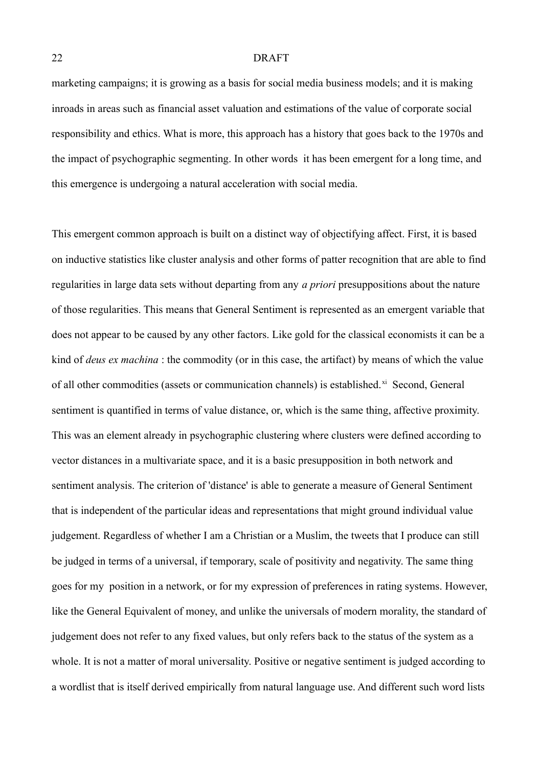marketing campaigns; it is growing as a basis for social media business models; and it is making inroads in areas such as financial asset valuation and estimations of the value of corporate social responsibility and ethics. What is more, this approach has a history that goes back to the 1970s and the impact of psychographic segmenting. In other words it has been emergent for a long time, and this emergence is undergoing a natural acceleration with social media.

This emergent common approach is built on a distinct way of objectifying affect. First, it is based on inductive statistics like cluster analysis and other forms of patter recognition that are able to find regularities in large data sets without departing from any *a priori* presuppositions about the nature of those regularities. This means that General Sentiment is represented as an emergent variable that does not appear to be caused by any other factors. Like gold for the classical economists it can be a kind of *deus ex machina* : the commodity (or in this case, the artifact) by means of which the value of all other commodities (assets or communication channels) is established.<sup>[xi](#page-24-10)</sup> Second, General sentiment is quantified in terms of value distance, or, which is the same thing, affective proximity. This was an element already in psychographic clustering where clusters were defined according to vector distances in a multivariate space, and it is a basic presupposition in both network and sentiment analysis. The criterion of 'distance' is able to generate a measure of General Sentiment that is independent of the particular ideas and representations that might ground individual value judgement. Regardless of whether I am a Christian or a Muslim, the tweets that I produce can still be judged in terms of a universal, if temporary, scale of positivity and negativity. The same thing goes for my position in a network, or for my expression of preferences in rating systems. However, like the General Equivalent of money, and unlike the universals of modern morality, the standard of judgement does not refer to any fixed values, but only refers back to the status of the system as a whole. It is not a matter of moral universality. Positive or negative sentiment is judged according to a wordlist that is itself derived empirically from natural language use. And different such word lists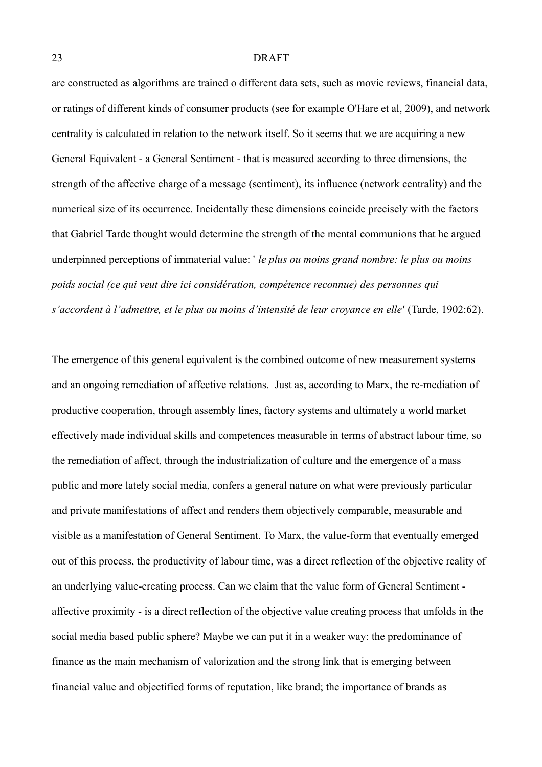are constructed as algorithms are trained o different data sets, such as movie reviews, financial data, or ratings of different kinds of consumer products (see for example O'Hare et al, 2009), and network centrality is calculated in relation to the network itself. So it seems that we are acquiring a new General Equivalent - a General Sentiment - that is measured according to three dimensions, the strength of the affective charge of a message (sentiment), its influence (network centrality) and the numerical size of its occurrence. Incidentally these dimensions coincide precisely with the factors that Gabriel Tarde thought would determine the strength of the mental communions that he argued underpinned perceptions of immaterial value: ' *le plus ou moins grand nombre: le plus ou moins poids social (ce qui veut dire ici considération, compétence reconnue) des personnes qui s'accordent à l'admettre, et le plus ou moins d'intensité de leur croyance en elle'* (Tarde, 1902:62).

The emergence of this general equivalent is the combined outcome of new measurement systems and an ongoing remediation of affective relations. Just as, according to Marx, the re-mediation of productive cooperation, through assembly lines, factory systems and ultimately a world market effectively made individual skills and competences measurable in terms of abstract labour time, so the remediation of affect, through the industrialization of culture and the emergence of a mass public and more lately social media, confers a general nature on what were previously particular and private manifestations of affect and renders them objectively comparable, measurable and visible as a manifestation of General Sentiment. To Marx, the value-form that eventually emerged out of this process, the productivity of labour time, was a direct reflection of the objective reality of an underlying value-creating process. Can we claim that the value form of General Sentiment affective proximity - is a direct reflection of the objective value creating process that unfolds in the social media based public sphere? Maybe we can put it in a weaker way: the predominance of finance as the main mechanism of valorization and the strong link that is emerging between financial value and objectified forms of reputation, like brand; the importance of brands as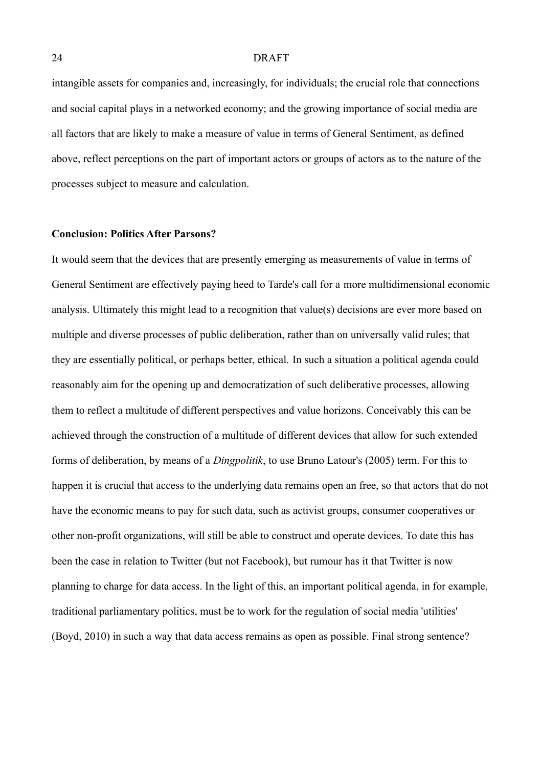intangible assets for companies and, increasingly, for individuals; the crucial role that connections and social capital plays in a networked economy; and the growing importance of social media are all factors that are likely to make a measure of value in terms of General Sentiment, as defined above, reflect perceptions on the part of important actors or groups of actors as to the nature of the processes subject to measure and calculation.

### **Conclusion: Politics After Parsons?**

It would seem that the devices that are presently emerging as measurements of value in terms of General Sentiment are effectively paying heed to Tarde's call for a more multidimensional economic analysis. Ultimately this might lead to a recognition that value(s) decisions are ever more based on multiple and diverse processes of public deliberation, rather than on universally valid rules; that they are essentially political, or perhaps better, ethical. In such a situation a political agenda could reasonably aim for the opening up and democratization of such deliberative processes, allowing them to reflect a multitude of different perspectives and value horizons. Conceivably this can be achieved through the construction of a multitude of different devices that allow for such extended forms of deliberation, by means of a *Dingpolitik*, to use Bruno Latour's (2005) term. For this to happen it is crucial that access to the underlying data remains open an free, so that actors that do not have the economic means to pay for such data, such as activist groups, consumer cooperatives or other non-profit organizations, will still be able to construct and operate devices. To date this has been the case in relation to Twitter (but not Facebook), but rumour has it that Twitter is now planning to charge for data access. In the light of this, an important political agenda, in for example, traditional parliamentary politics, must be to work for the regulation of social media 'utilities' (Boyd, 2010) in such a way that data access remains as open as possible. Final strong sentence?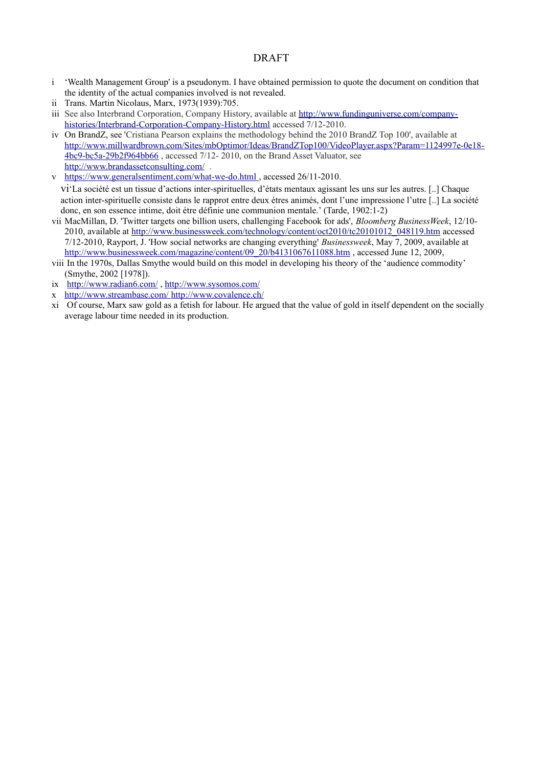- <span id="page-24-0"></span>i 'Wealth Management Group' is a pseudonym. I have obtained permission to quote the document on condition that the identity of the actual companies involved is not revealed.
- <span id="page-24-1"></span>ii Trans. Martin Nicolaus, Marx, 1973(1939):705.
- <span id="page-24-2"></span>iii See also Interbrand Corporation, Company History, available at [http://www.fundinguniverse.com/company](http://www.fundinguniverse.com/company-histories/Interbrand-Corporation-Company-History.html)[histories/Interbrand-Corporation-Company-History.html](http://www.fundinguniverse.com/company-histories/Interbrand-Corporation-Company-History.html) accessed 7/12-2010.
- <span id="page-24-3"></span>iv On BrandZ, see 'Cristiana Pearson explains the methodology behind the 2010 BrandZ Top 100', available at [http://www.millwardbrown.com/Sites/mbOptimor/Ideas/BrandZTop100/VideoPlayer.aspx?Param=1124997e-0e18-](http://www.millwardbrown.com/Sites/mbOptimor/Ideas/BrandZTop100/VideoPlayer.aspx?Param=1124997e-0e18-4bc9-bc5a-29b2f964bb66) [4bc9-bc5a-29b2f964bb66](http://www.millwardbrown.com/Sites/mbOptimor/Ideas/BrandZTop100/VideoPlayer.aspx?Param=1124997e-0e18-4bc9-bc5a-29b2f964bb66) , accessed 7/12- 2010, on the Brand Asset Valuator, see <http://www.brandassetconsulting.com/>.
- <span id="page-24-5"></span><span id="page-24-4"></span>v<https://www.generalsentiment.com/what-we-do.html>, accessed 26/11-2010. vi'La société est un tissue d'actions inter-spirituelles, d'états mentaux agissant les uns sur les autres. [..] Chaque action inter-spirituelle consiste dans le rapprot entre deux étres animés, dont l'une impressione l'utre [..] La société donc, en son essence intime, doit étre définie une communion mentale.' (Tarde, 1902:1-2)
- <span id="page-24-6"></span>vii MacMillan, D. 'Twitter targets one billion users, challenging Facebook for ads', *Bloomberg BusinessWeek*, 12/10- 2010, available at [http://www.businessweek.com/technology/content/oct2010/tc20101012\\_048119.htm](http://www.businessweek.com/technology/content/oct2010/tc20101012_048119.htm) accessed 7/12-2010, Rayport, J. 'How social networks are changing everything' *Businessweek*, May 7, 2009, available at [http://www.businessweek.com/magazine/content/09\\_20/b4131067611088.htm](http://www.businessweek.com/magazine/content/09_20/b4131067611088.htm) , accessed June 12, 2009,
- <span id="page-24-7"></span>viii In the 1970s, Dallas Smythe would build on this model in developing his theory of the 'audience commodity' (Smythe, 2002 [1978]).
- <span id="page-24-8"></span>ix <http://www.radian6.com/>,<http://www.sysomos.com/>
- <span id="page-24-9"></span>x<http://www.streambase.com/> <http://www.covalence.ch/>
- <span id="page-24-10"></span>xi Of course, Marx saw gold as a fetish for labour. He argued that the value of gold in itself dependent on the socially average labour time needed in its production.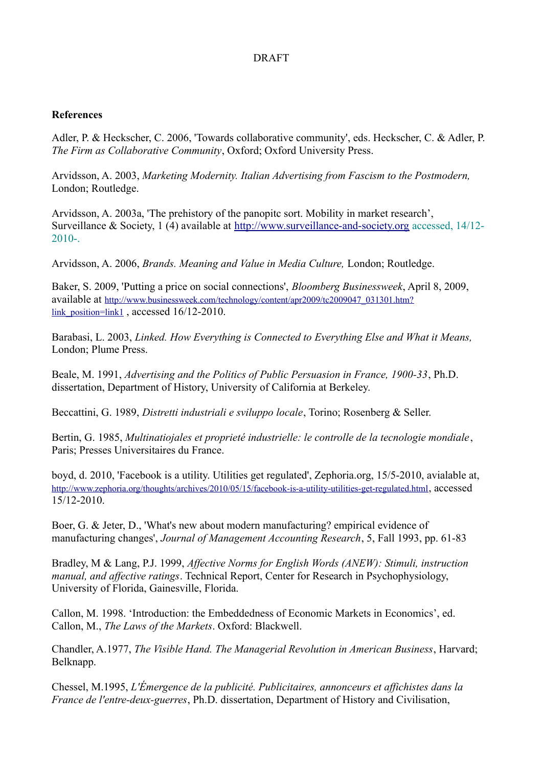### **References**

Adler, P. & Heckscher, C. 2006, 'Towards collaborative community', eds. Heckscher, C. & Adler, P. *The Firm as Collaborative Community*, Oxford; Oxford University Press.

Arvidsson, A. 2003, *Marketing Modernity. Italian Advertising from Fascism to the Postmodern,* London; Routledge.

Arvidsson, A. 2003a, 'The prehistory of the panopitc sort. Mobility in market research', Surveillance & Society, 1 (4) available at [http://www.surveillance-and-society.org](http://www.surveillance-and-society.org/) accessed, 14/12- 2010-.

Arvidsson, A. 2006, *Brands. Meaning and Value in Media Culture,* London; Routledge.

Baker, S. 2009, 'Putting a price on social connections', *Bloomberg Businessweek*, April 8, 2009, available at [http://www.businessweek.com/technology/content/apr2009/tc2009047\\_031301.htm?](http://www.businessweek.com/technology/content/apr2009/tc2009047_031301.htm?link_position=link1) link position=link1, accessed 16/12-2010.

Barabasi, L. 2003, *Linked. How Everything is Connected to Everything Else and What it Means,* London; Plume Press.

Beale, M. 1991, *Advertising and the Politics of Public Persuasion in France, 1900-33*, Ph.D. dissertation, Department of History, University of California at Berkeley.

Beccattini, G. 1989, *Distretti industriali e sviluppo locale*, Torino; Rosenberg & Seller.

Bertin, G. 1985, *Multinatiojales et proprieté industrielle: le controlle de la tecnologie mondiale*, Paris; Presses Universitaires du France.

boyd, d. 2010, 'Facebook is a utility. Utilities get regulated', Zephoria.org, 15/5-2010, avialable at, <http://www.zephoria.org/thoughts/archives/2010/05/15/facebook-is-a-utility-utilities-get-regulated.html>, accessed 15/12-2010.

Boer, G. & Jeter, D., 'What's new about modern manufacturing? empirical evidence of manufacturing changes', *Journal of Management Accounting Research*, 5, Fall 1993, pp. 61-83

Bradley, M & Lang, P.J. 1999, *Affective Norms for English Words (ANEW): Stimuli, instruction manual, and affective ratings*. Technical Report, Center for Research in Psychophysiology, University of Florida, Gainesville, Florida.

Callon, M. 1998. 'Introduction: the Embeddedness of Economic Markets in Economics', ed. Callon, M., *The Laws of the Markets*. Oxford: Blackwell.

Chandler, A.1977, *The Visible Hand. The Managerial Revolution in American Business*, Harvard; Belknapp.

Chessel, M.1995, *L'Émergence de la publicité. Publicitaires, annonceurs et affichistes dans la France de l'entre-deux-guerres*, Ph.D. dissertation, Department of History and Civilisation,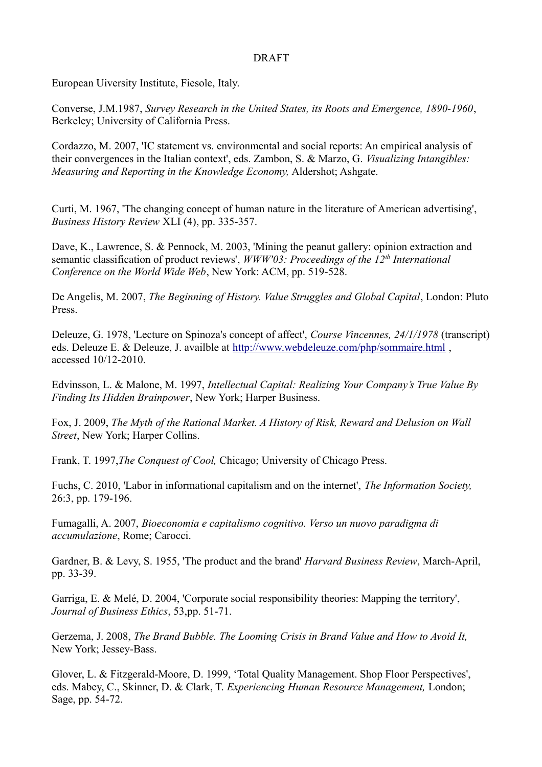European Uiversity Institute, Fiesole, Italy.

Converse, J.M.1987, *Survey Research in the United States, its Roots and Emergence, 1890-1960*, Berkeley; University of California Press.

Cordazzo, M. 2007, 'IC statement vs. environmental and social reports: An empirical analysis of their convergences in the Italian context', eds. Zambon, S. & Marzo, G. *Visualizing Intangibles: Measuring and Reporting in the Knowledge Economy,* Aldershot; Ashgate.

Curti, M. 1967, 'The changing concept of human nature in the literature of American advertising', *Business History Review* XLI (4), pp. 335-357.

Dave, K., Lawrence, S. & Pennock, M. 2003, 'Mining the peanut gallery: opinion extraction and semantic classification of product reviews', *WWW'03: Proceedings of the 12th International Conference on the World Wide Web*, New York: ACM, pp. 519-528.

De Angelis, M. 2007, *The Beginning of History. Value Struggles and Global Capital*, London: Pluto Press.

Deleuze, G. 1978, 'Lecture on Spinoza's concept of affect', *Course Vincennes, 24/1/1978* (transcript) eds. Deleuze E. & Deleuze, J. availble at <http://www.webdeleuze.com/php/sommaire.html>, accessed 10/12-2010.

Edvinsson, L. & Malone, M. 1997, *Intellectual Capital: Realizing Your Company's True Value By Finding Its Hidden Brainpower*, New York; Harper Business.

Fox, J. 2009, *The Myth of the Rational Market. A History of Risk, Reward and Delusion on Wall Street*, New York; Harper Collins.

Frank, T. 1997,*The Conquest of Cool,* Chicago; University of Chicago Press.

Fuchs, C. 2010, 'Labor in informational capitalism and on the internet', *The Information Society,* 26:3, pp. 179-196.

Fumagalli, A. 2007, *Bioeconomia e capitalismo cognitivo. Verso un nuovo paradigma di accumulazione*, Rome; Carocci.

Gardner, B. & Levy, S. 1955, 'The product and the brand' *Harvard Business Review*, March-April, pp. 33-39.

Garriga, E. & Melé, D. 2004, 'Corporate social responsibility theories: Mapping the territory', *Journal of Business Ethics*, 53,pp. 51-71.

Gerzema, J. 2008, *The Brand Bubble. The Looming Crisis in Brand Value and How to Avoid It,* New York; Jessey-Bass.

Glover, L. & Fitzgerald-Moore, D. 1999, 'Total Quality Management. Shop Floor Perspectives', eds. Mabey, C., Skinner, D. & Clark, T. *Experiencing Human Resource Management,* London; Sage, pp. 54-72.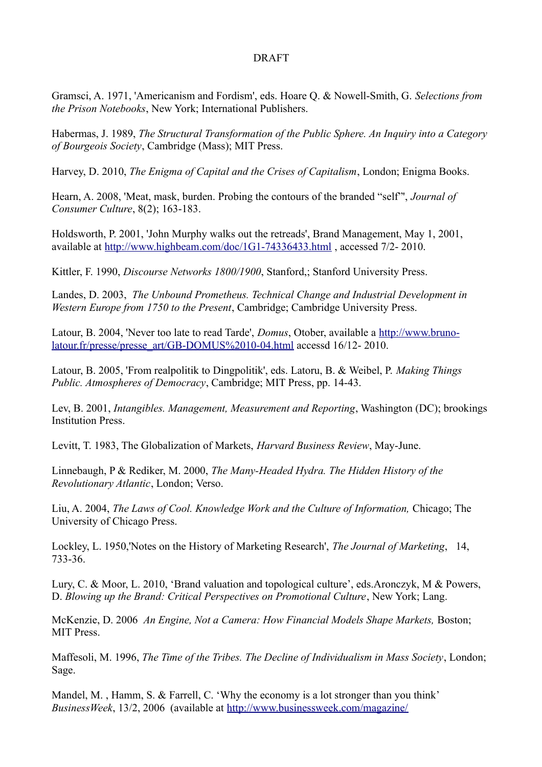Gramsci, A. 1971, 'Americanism and Fordism', eds. Hoare Q. & Nowell-Smith, G. *Selections from the Prison Notebooks*, New York; International Publishers.

Habermas, J. 1989, *The Structural Transformation of the Public Sphere. An Inquiry into a Category of Bourgeois Society*, Cambridge (Mass); MIT Press.

Harvey, D. 2010, *The Enigma of Capital and the Crises of Capitalism*, London; Enigma Books.

Hearn, A. 2008, 'Meat, mask, burden. Probing the contours of the branded "self"', *Journal of Consumer Culture*, 8(2); 163-183.

Holdsworth, P. 2001, 'John Murphy walks out the retreads', Brand Management, May 1, 2001, available at<http://www.highbeam.com/doc/1G1-74336433.html>, accessed 7/2- 2010.

Kittler, F. 1990, *Discourse Networks 1800/1900*, Stanford,; Stanford University Press.

Landes, D. 2003, *The Unbound Prometheus. Technical Change and Industrial Development in Western Europe from 1750 to the Present*, Cambridge; Cambridge University Press.

Latour, B. 2004, 'Never too late to read Tarde', *Domus*, Otober, available a [http://www.bruno](http://www.bruno-latour.fr/presse/presse_art/GB-DOMUS%2010-04.html)[latour.fr/presse/presse\\_art/GB-DOMUS%2010-04.html](http://www.bruno-latour.fr/presse/presse_art/GB-DOMUS%2010-04.html) accessd 16/12- 2010.

Latour, B. 2005, 'From realpolitik to Dingpolitik', eds. Latoru, B. & Weibel, P. *Making Things Public. Atmospheres of Democracy*, Cambridge; MIT Press, pp. 14-43.

Lev, B. 2001, *Intangibles. Management, Measurement and Reporting*, Washington (DC); brookings Institution Press.

Levitt, T. 1983, The Globalization of Markets, *Harvard Business Review*, May-June.

Linnebaugh, P & Rediker, M. 2000, *The Many-Headed Hydra. The Hidden History of the Revolutionary Atlantic*, London; Verso.

Liu, A. 2004, *The Laws of Cool. Knowledge Work and the Culture of Information,* Chicago; The University of Chicago Press.

Lockley, L. 1950,'Notes on the History of Marketing Research', *The Journal of Marketing*, 14, 733-36.

Lury, C. & Moor, L. 2010, 'Brand valuation and topological culture', eds.Aronczyk, M & Powers, D. *Blowing up the Brand: Critical Perspectives on Promotional Culture*, New York; Lang.

McKenzie, D. 2006 *An Engine, Not a Camera: How Financial Models Shape Markets,* Boston; MIT Press.

Maffesoli, M. 1996, *The Time of the Tribes. The Decline of Individualism in Mass Society*, London; Sage.

Mandel, M. , Hamm, S. & Farrell, C. 'Why the economy is a lot stronger than you think' *BusinessWeek*, 13/2, 2006 (available at<http://www.businessweek.com/magazine/>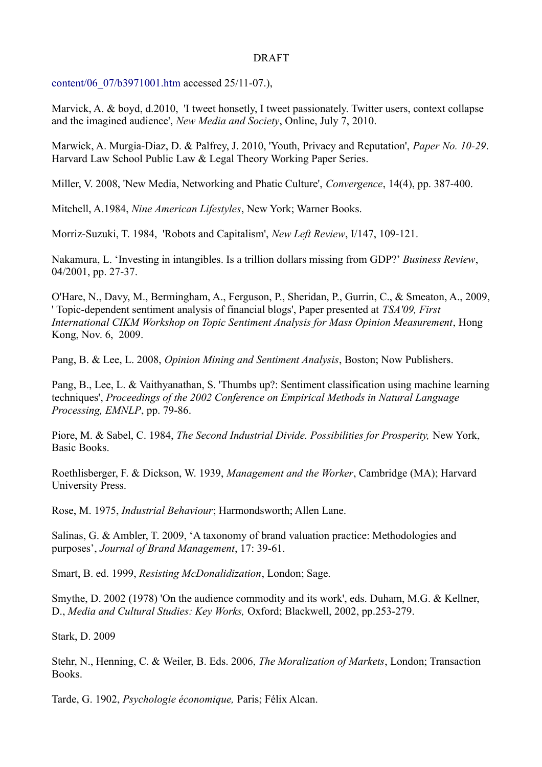content/06\_07/b3971001.htm accessed 25/11-07.),

Marvick, A. & boyd, d.2010, 'I tweet honsetly, I tweet passionately. Twitter users, context collapse and the imagined audience', *New Media and Society*, Online, July 7, 2010.

Marwick, A. Murgia-Diaz, D. & Palfrey, J. 2010, 'Youth, Privacy and Reputation', *Paper No. 10-29*. Harvard Law School Public Law & Legal Theory Working Paper Series.

Miller, V. 2008, 'New Media, Networking and Phatic Culture', *Convergence*, 14(4), pp. 387-400.

Mitchell, A.1984, *Nine American Lifestyles*, New York; Warner Books.

Morriz-Suzuki, T. 1984, 'Robots and Capitalism', *New Left Review*, I/147, 109-121.

Nakamura, L. 'Investing in intangibles. Is a trillion dollars missing from GDP?' *Business Review*, 04/2001, pp. 27-37.

O'Hare, N., Davy, M., Bermingham, A., Ferguson, P., Sheridan, P., Gurrin, C., & Smeaton, A., 2009, ' Topic-dependent sentiment analysis of financial blogs', Paper presented at *TSA'09, First International CIKM Workshop on Topic Sentiment Analysis for Mass Opinion Measurement*, Hong Kong, Nov. 6, 2009.

Pang, B. & Lee, L. 2008, *Opinion Mining and Sentiment Analysis*, Boston; Now Publishers.

Pang, B., Lee, L. & Vaithyanathan, S. 'Thumbs up?: Sentiment classification using machine learning techniques', *Proceedings of the 2002 Conference on Empirical Methods in Natural Language Processing, EMNLP*, pp. 79-86.

Piore, M. & Sabel, C. 1984, *The Second Industrial Divide. Possibilities for Prosperity,* New York, Basic Books.

Roethlisberger, F. & Dickson, W. 1939, *Management and the Worker*, Cambridge (MA); Harvard University Press.

Rose, M. 1975, *Industrial Behaviour*; Harmondsworth; Allen Lane.

Salinas, G. & Ambler, T. 2009, 'A taxonomy of brand valuation practice: Methodologies and purposes', *Journal of Brand Management*, 17: 39-61.

Smart, B. ed. 1999, *Resisting McDonalidization*, London; Sage.

Smythe, D. 2002 (1978) 'On the audience commodity and its work', eds. Duham, M.G. & Kellner, D., *Media and Cultural Studies: Key Works,* Oxford; Blackwell, 2002, pp.253-279.

Stark, D. 2009

Stehr, N., Henning, C. & Weiler, B. Eds. 2006, *The Moralization of Markets*, London; Transaction Books.

Tarde, G. 1902, *Psychologie économique,* Paris; Félix Alcan.